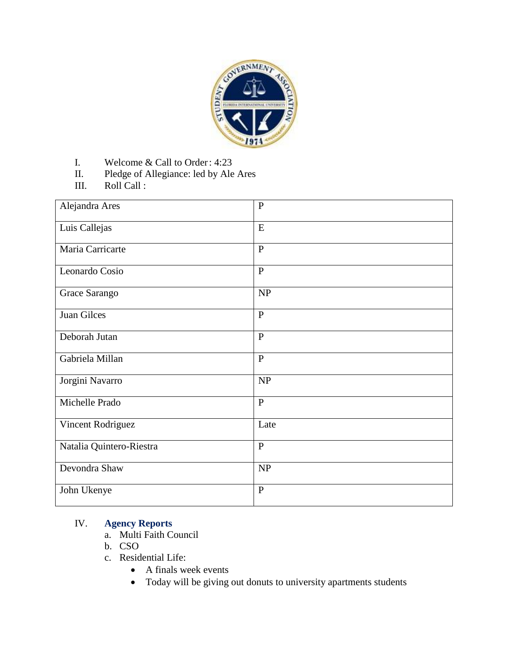

- I. Welcome & Call to Order: 4:23
- II. Pledge of Allegiance: led by Ale Ares
- III. Roll Call :

| Alejandra Ares           | $\overline{P}$ |
|--------------------------|----------------|
| Luis Callejas            | E              |
| Maria Carricarte         | $\mathbf{P}$   |
| Leonardo Cosio           | $\mathbf{P}$   |
| Grace Sarango            | NP             |
| Juan Gilces              | $\overline{P}$ |
| Deborah Jutan            | $\mathbf{P}$   |
| Gabriela Millan          | $\mathbf{P}$   |
| Jorgini Navarro          | NP             |
| Michelle Prado           | $\mathbf{P}$   |
| Vincent Rodriguez        | Late           |
| Natalia Quintero-Riestra | $\mathbf{P}$   |
| Devondra Shaw            | NP             |
| John Ukenye              | $\mathbf{P}$   |

## IV. **Agency Reports**

- a. Multi Faith Council
- b. CSO
- c. Residential Life:
	- A finals week events
	- Today will be giving out donuts to university apartments students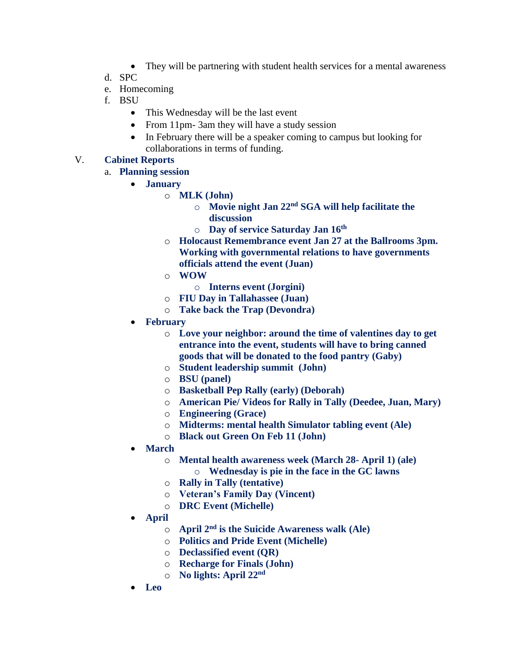- They will be partnering with student health services for a mental awareness
- d. SPC
- e. Homecoming
- f. BSU
	- This Wednesday will be the last event
	- From 11pm-3am they will have a study session
	- In February there will be a speaker coming to campus but looking for collaborations in terms of funding.

## V. **Cabinet Reports**

- a. **Planning session** 
	- **January** 
		- o **MLK (John)** 
			- o **Movie night Jan 22nd SGA will help facilitate the discussion**
			- o **Day of service Saturday Jan 16th**
		- o **Holocaust Remembrance event Jan 27 at the Ballrooms 3pm. Working with governmental relations to have governments officials attend the event (Juan)**
		- o **WOW** 
			- o **Interns event (Jorgini)**
		- o **FIU Day in Tallahassee (Juan)**
		- o **Take back the Trap (Devondra)**
	- **February**
		- o **Love your neighbor: around the time of valentines day to get entrance into the event, students will have to bring canned goods that will be donated to the food pantry (Gaby)**
		- o **Student leadership summit (John)**
		- o **BSU (panel)**
		- o **Basketball Pep Rally (early) (Deborah)**
		- o **American Pie/ Videos for Rally in Tally (Deedee, Juan, Mary)**
		- o **Engineering (Grace)**
		- o **Midterms: mental health Simulator tabling event (Ale)**
		- o **Black out Green On Feb 11 (John)**
	- **March** 
		- o **Mental health awareness week (March 28- April 1) (ale)** 
			- o **Wednesday is pie in the face in the GC lawns**
		- o **Rally in Tally (tentative)**
		- o **Veteran's Family Day (Vincent)**
		- o **DRC Event (Michelle)**
	- **April** 
		- o **April 2nd is the Suicide Awareness walk (Ale)**
		- o **Politics and Pride Event (Michelle)**
		- o **Declassified event (QR)**
		- o **Recharge for Finals (John)**
		- o **No lights: April 22nd**
	- **Leo**